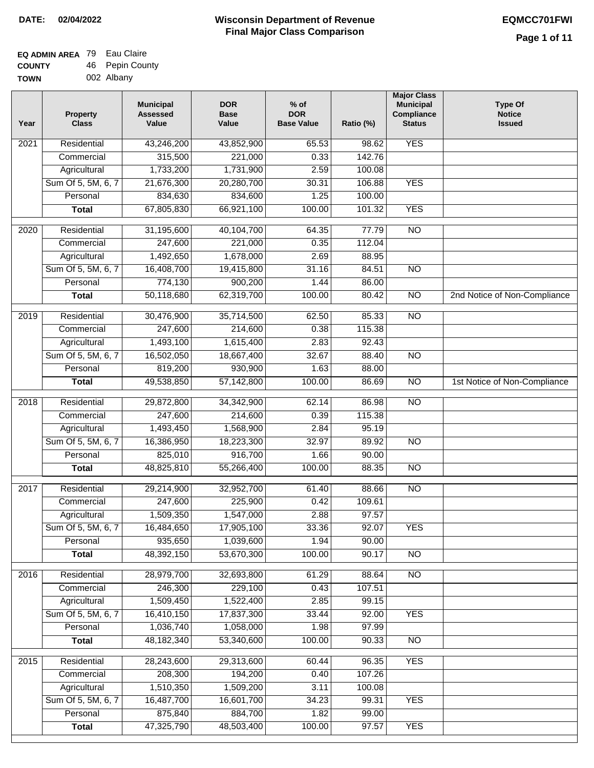# **Wisconsin Department of Revenue DATE: 02/04/2022 EQMCC701FWI Final Major Class Comparison**

| <b>EQ ADMIN AREA</b> 79 Eau Claire |                 |
|------------------------------------|-----------------|
| <b>COUNTY</b>                      | 46 Pepin County |
| TOWN                               | 002 Albany      |

| Year | <b>Property</b><br><b>Class</b> | <b>Municipal</b><br><b>Assessed</b><br>Value | <b>DOR</b><br><b>Base</b><br>Value | $%$ of<br><b>DOR</b><br><b>Base Value</b> | Ratio (%) | <b>Major Class</b><br><b>Municipal</b><br>Compliance<br><b>Status</b> | <b>Type Of</b><br><b>Notice</b><br><b>Issued</b> |
|------|---------------------------------|----------------------------------------------|------------------------------------|-------------------------------------------|-----------|-----------------------------------------------------------------------|--------------------------------------------------|
| 2021 | Residential                     | 43,246,200                                   | 43,852,900                         | 65.53                                     | 98.62     | <b>YES</b>                                                            |                                                  |
|      | Commercial                      | 315,500                                      | 221,000                            | 0.33                                      | 142.76    |                                                                       |                                                  |
|      | Agricultural                    | 1,733,200                                    | 1,731,900                          | 2.59                                      | 100.08    |                                                                       |                                                  |
|      | Sum Of 5, 5M, 6, 7              | 21,676,300                                   | 20,280,700                         | 30.31                                     | 106.88    | <b>YES</b>                                                            |                                                  |
|      | Personal                        | 834,630                                      | 834,600                            | 1.25                                      | 100.00    |                                                                       |                                                  |
|      | <b>Total</b>                    | 67,805,830                                   | 66,921,100                         | 100.00                                    | 101.32    | <b>YES</b>                                                            |                                                  |
| 2020 | Residential                     | 31,195,600                                   | 40,104,700                         | 64.35                                     | 77.79     | $\overline{NO}$                                                       |                                                  |
|      | Commercial                      | 247,600                                      | 221,000                            | 0.35                                      | 112.04    |                                                                       |                                                  |
|      | Agricultural                    | 1,492,650                                    | 1,678,000                          | 2.69                                      | 88.95     |                                                                       |                                                  |
|      | Sum Of 5, 5M, 6, 7              | 16,408,700                                   | 19,415,800                         | 31.16                                     | 84.51     | $\overline{NO}$                                                       |                                                  |
|      | Personal                        | 774,130                                      | 900,200                            | 1.44                                      | 86.00     |                                                                       |                                                  |
|      | <b>Total</b>                    | 50,118,680                                   | 62,319,700                         | 100.00                                    | 80.42     | $\overline{NO}$                                                       | 2nd Notice of Non-Compliance                     |
| 2019 | Residential                     | 30,476,900                                   | 35,714,500                         | 62.50                                     | 85.33     | $\overline{NO}$                                                       |                                                  |
|      | Commercial                      | 247,600                                      | 214,600                            | 0.38                                      | 115.38    |                                                                       |                                                  |
|      | Agricultural                    | 1,493,100                                    | 1,615,400                          | 2.83                                      | 92.43     |                                                                       |                                                  |
|      | Sum Of 5, 5M, 6, 7              | 16,502,050                                   | 18,667,400                         | 32.67                                     | 88.40     | N <sub>O</sub>                                                        |                                                  |
|      | Personal                        | 819,200                                      | 930,900                            | 1.63                                      | 88.00     |                                                                       |                                                  |
|      | <b>Total</b>                    | 49,538,850                                   | 57,142,800                         | 100.00                                    | 86.69     | $\overline{NO}$                                                       | 1st Notice of Non-Compliance                     |
| 2018 | Residential                     | 29,872,800                                   | 34,342,900                         | 62.14                                     | 86.98     | <b>NO</b>                                                             |                                                  |
|      | Commercial                      | 247,600                                      | 214,600                            | 0.39                                      | 115.38    |                                                                       |                                                  |
|      | Agricultural                    | 1,493,450                                    | 1,568,900                          | 2.84                                      | 95.19     |                                                                       |                                                  |
|      | Sum Of 5, 5M, 6, 7              | 16,386,950                                   | 18,223,300                         | 32.97                                     | 89.92     | $\overline{NO}$                                                       |                                                  |
|      | Personal                        | 825,010                                      | 916,700                            | 1.66                                      | 90.00     |                                                                       |                                                  |
|      | <b>Total</b>                    | 48,825,810                                   | 55,266,400                         | 100.00                                    | 88.35     | <b>NO</b>                                                             |                                                  |
| 2017 | Residential                     | 29,214,900                                   | 32,952,700                         | 61.40                                     | 88.66     | $\overline{NO}$                                                       |                                                  |
|      | Commercial                      | 247,600                                      | 225,900                            | 0.42                                      | 109.61    |                                                                       |                                                  |
|      | Agricultural                    | 1,509,350                                    | 1,547,000                          | 2.88                                      | 97.57     |                                                                       |                                                  |
|      | Sum Of 5, 5M, 6, 7              | 16,484,650                                   | 17,905,100                         | 33.36                                     | 92.07     | <b>YES</b>                                                            |                                                  |
|      | Personal                        | 935,650                                      | 1,039,600                          | 1.94                                      | 90.00     |                                                                       |                                                  |
|      | <b>Total</b>                    | 48,392,150                                   | 53,670,300                         | 100.00                                    | 90.17     | <b>NO</b>                                                             |                                                  |
| 2016 | Residential                     | 28,979,700                                   | 32,693,800                         | 61.29                                     | 88.64     | N <sub>O</sub>                                                        |                                                  |
|      | Commercial                      | 246,300                                      | 229,100                            | 0.43                                      | 107.51    |                                                                       |                                                  |
|      | Agricultural                    | 1,509,450                                    | 1,522,400                          | 2.85                                      | 99.15     |                                                                       |                                                  |
|      | Sum Of 5, 5M, 6, 7              | 16,410,150                                   | 17,837,300                         | 33.44                                     | 92.00     | <b>YES</b>                                                            |                                                  |
|      | Personal                        | 1,036,740                                    | 1,058,000                          | 1.98                                      | 97.99     |                                                                       |                                                  |
|      | <b>Total</b>                    | 48,182,340                                   | 53,340,600                         | 100.00                                    | 90.33     | N <sub>O</sub>                                                        |                                                  |
| 2015 | Residential                     | 28,243,600                                   | 29,313,600                         | 60.44                                     | 96.35     | <b>YES</b>                                                            |                                                  |
|      | Commercial                      | 208,300                                      | 194,200                            | 0.40                                      | 107.26    |                                                                       |                                                  |
|      | Agricultural                    | 1,510,350                                    | 1,509,200                          | 3.11                                      | 100.08    |                                                                       |                                                  |
|      | Sum Of 5, 5M, 6, 7              | 16,487,700                                   | 16,601,700                         | 34.23                                     | 99.31     | <b>YES</b>                                                            |                                                  |
|      | Personal                        | 875,840                                      | 884,700                            | 1.82                                      | 99.00     |                                                                       |                                                  |
|      | <b>Total</b>                    | 47,325,790                                   | 48,503,400                         | 100.00                                    | 97.57     | <b>YES</b>                                                            |                                                  |
|      |                                 |                                              |                                    |                                           |           |                                                                       |                                                  |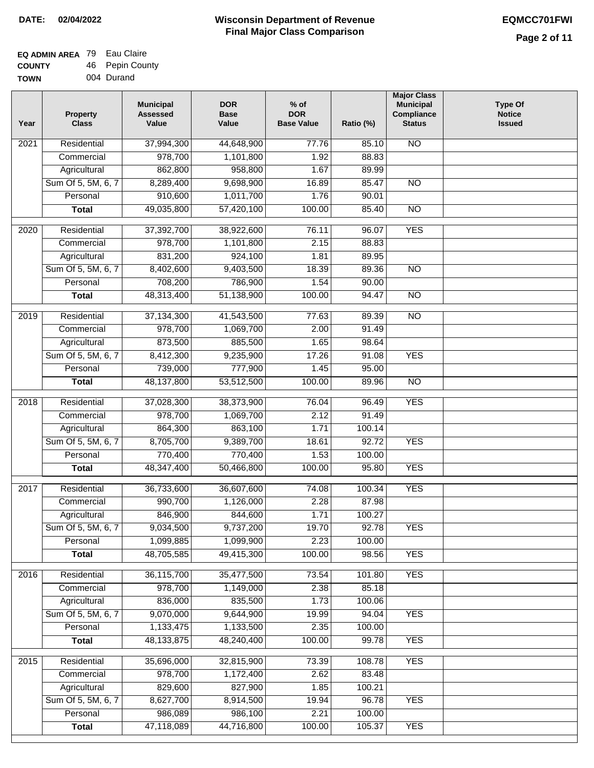# **Wisconsin Department of Revenue DATE: 02/04/2022 EQMCC701FWI Final Major Class Comparison**

| <b>EQ ADMIN AREA</b> 79 Eau Claire |                 |
|------------------------------------|-----------------|
| <b>COUNTY</b>                      | 46 Pepin County |
| <b>TOWN</b>                        | 004 Durand      |

| Year              | <b>Property</b><br><b>Class</b> | <b>Municipal</b><br><b>Assessed</b><br>Value | <b>DOR</b><br><b>Base</b><br>Value | $%$ of<br><b>DOR</b><br><b>Base Value</b> | Ratio (%) | <b>Major Class</b><br><b>Municipal</b><br>Compliance<br><b>Status</b> | <b>Type Of</b><br><b>Notice</b><br><b>Issued</b> |
|-------------------|---------------------------------|----------------------------------------------|------------------------------------|-------------------------------------------|-----------|-----------------------------------------------------------------------|--------------------------------------------------|
| $\overline{202}1$ | Residential                     | 37,994,300                                   | 44,648,900                         | 77.76                                     | 85.10     | $\overline{NO}$                                                       |                                                  |
|                   | Commercial                      | 978,700                                      | 1,101,800                          | 1.92                                      | 88.83     |                                                                       |                                                  |
|                   | Agricultural                    | 862,800                                      | 958,800                            | 1.67                                      | 89.99     |                                                                       |                                                  |
|                   | Sum Of 5, 5M, 6, 7              | 8,289,400                                    | 9,698,900                          | 16.89                                     | 85.47     | $\overline{NO}$                                                       |                                                  |
|                   | Personal                        | 910,600                                      | 1,011,700                          | 1.76                                      | 90.01     |                                                                       |                                                  |
|                   | <b>Total</b>                    | 49,035,800                                   | 57,420,100                         | 100.00                                    | 85.40     | $\overline{NO}$                                                       |                                                  |
| 2020              | Residential                     | 37,392,700                                   | 38,922,600                         | 76.11                                     | 96.07     | <b>YES</b>                                                            |                                                  |
|                   | Commercial                      | 978,700                                      | 1,101,800                          | 2.15                                      | 88.83     |                                                                       |                                                  |
|                   | Agricultural                    | 831,200                                      | 924,100                            | 1.81                                      | 89.95     |                                                                       |                                                  |
|                   | Sum Of 5, 5M, 6, 7              | 8,402,600                                    | 9,403,500                          | 18.39                                     | 89.36     | $\overline{NO}$                                                       |                                                  |
|                   | Personal                        | 708,200                                      | 786,900                            | 1.54                                      | 90.00     |                                                                       |                                                  |
|                   | <b>Total</b>                    | 48,313,400                                   | 51,138,900                         | 100.00                                    | 94.47     | $\overline{NO}$                                                       |                                                  |
| 2019              | Residential                     | 37, 134, 300                                 | 41,543,500                         | 77.63                                     | 89.39     | $\overline{NO}$                                                       |                                                  |
|                   | Commercial                      | 978,700                                      | 1,069,700                          | 2.00                                      | 91.49     |                                                                       |                                                  |
|                   |                                 | 873,500                                      | 885,500                            | 1.65                                      | 98.64     |                                                                       |                                                  |
|                   | Agricultural                    |                                              |                                    | 17.26                                     | 91.08     | <b>YES</b>                                                            |                                                  |
|                   | Sum Of 5, 5M, 6, 7              | 8,412,300                                    | 9,235,900                          |                                           |           |                                                                       |                                                  |
|                   | Personal                        | 739,000                                      | 777,900                            | 1.45                                      | 95.00     |                                                                       |                                                  |
|                   | <b>Total</b>                    | 48,137,800                                   | 53,512,500                         | 100.00                                    | 89.96     | $\overline{NO}$                                                       |                                                  |
| 2018              | Residential                     | 37,028,300                                   | 38,373,900                         | 76.04                                     | 96.49     | <b>YES</b>                                                            |                                                  |
|                   | Commercial                      | 978,700                                      | 1,069,700                          | 2.12                                      | 91.49     |                                                                       |                                                  |
|                   | Agricultural                    | 864,300                                      | 863,100                            | 1.71                                      | 100.14    |                                                                       |                                                  |
|                   | Sum Of 5, 5M, 6, 7              | 8,705,700                                    | 9,389,700                          | 18.61                                     | 92.72     | <b>YES</b>                                                            |                                                  |
|                   | Personal                        | 770,400                                      | 770,400                            | 1.53                                      | 100.00    |                                                                       |                                                  |
|                   | <b>Total</b>                    | 48,347,400                                   | 50,466,800                         | 100.00                                    | 95.80     | <b>YES</b>                                                            |                                                  |
| $\overline{2017}$ | Residential                     | 36,733,600                                   | 36,607,600                         | 74.08                                     | 100.34    | <b>YES</b>                                                            |                                                  |
|                   | Commercial                      | 990,700                                      | 1,126,000                          | 2.28                                      | 87.98     |                                                                       |                                                  |
|                   | Agricultural                    | 846,900                                      | 844,600                            | 1.71                                      | 100.27    |                                                                       |                                                  |
|                   | Sum Of 5, 5M, 6, 7              | 9,034,500                                    | 9,737,200                          | 19.70                                     | 92.78     | <b>YES</b>                                                            |                                                  |
|                   | Personal                        | 1,099,885                                    | 1,099,900                          | 2.23                                      | 100.00    |                                                                       |                                                  |
|                   | <b>Total</b>                    | 48,705,585                                   | 49,415,300                         | 100.00                                    | 98.56     | <b>YES</b>                                                            |                                                  |
| 2016              | Residential                     | 36,115,700                                   | 35,477,500                         | 73.54                                     | 101.80    | <b>YES</b>                                                            |                                                  |
|                   | Commercial                      | 978,700                                      | 1,149,000                          | 2.38                                      | 85.18     |                                                                       |                                                  |
|                   | Agricultural                    | 836,000                                      | 835,500                            | 1.73                                      | 100.06    |                                                                       |                                                  |
|                   | Sum Of 5, 5M, 6, 7              | 9,070,000                                    | 9,644,900                          | 19.99                                     | 94.04     | <b>YES</b>                                                            |                                                  |
|                   | Personal                        | 1,133,475                                    | 1,133,500                          | 2.35                                      | 100.00    |                                                                       |                                                  |
|                   | <b>Total</b>                    | 48, 133, 875                                 | 48,240,400                         | 100.00                                    | 99.78     | <b>YES</b>                                                            |                                                  |
| 2015              | Residential                     | 35,696,000                                   | 32,815,900                         | 73.39                                     | 108.78    | <b>YES</b>                                                            |                                                  |
|                   | Commercial                      | 978,700                                      | 1,172,400                          | 2.62                                      | 83.48     |                                                                       |                                                  |
|                   | Agricultural                    | 829,600                                      | 827,900                            | 1.85                                      | 100.21    |                                                                       |                                                  |
|                   | Sum Of 5, 5M, 6, 7              | 8,627,700                                    | 8,914,500                          | 19.94                                     | 96.78     | <b>YES</b>                                                            |                                                  |
|                   | Personal                        | 986,089                                      | 986,100                            | 2.21                                      | 100.00    |                                                                       |                                                  |
|                   | <b>Total</b>                    | 47,118,089                                   | 44,716,800                         | 100.00                                    | 105.37    | <b>YES</b>                                                            |                                                  |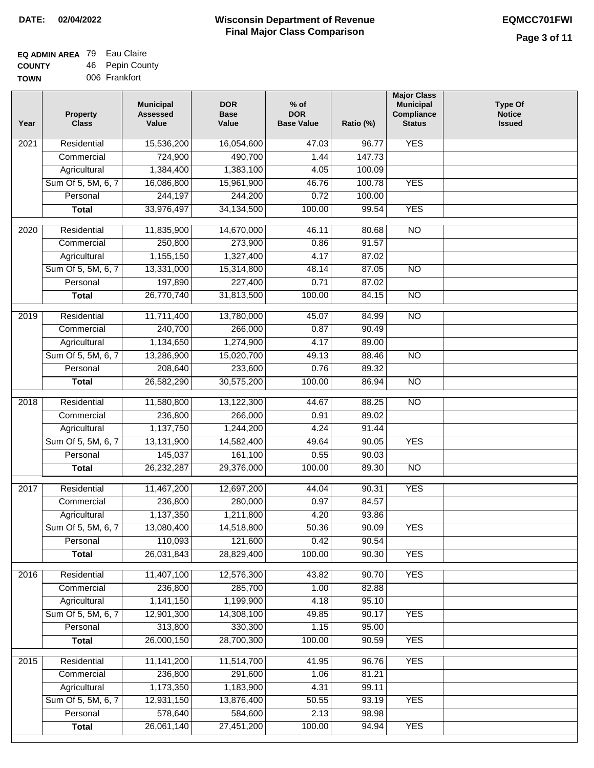### **EQ ADMIN AREA** 79 Eau Claire **COUNTY TOW** 46 Pepin County

| /Ν | 006 Frankfort |
|----|---------------|
|    |               |

| Year              | <b>Property</b><br><b>Class</b> | <b>Municipal</b><br><b>Assessed</b><br>Value | <b>DOR</b><br><b>Base</b><br>Value | $%$ of<br><b>DOR</b><br><b>Base Value</b> | Ratio (%) | <b>Major Class</b><br><b>Municipal</b><br>Compliance<br><b>Status</b> | <b>Type Of</b><br><b>Notice</b><br><b>Issued</b> |
|-------------------|---------------------------------|----------------------------------------------|------------------------------------|-------------------------------------------|-----------|-----------------------------------------------------------------------|--------------------------------------------------|
| 2021              | Residential                     | 15,536,200                                   | 16,054,600                         | 47.03                                     | 96.77     | <b>YES</b>                                                            |                                                  |
|                   | Commercial                      | 724,900                                      | 490,700                            | 1.44                                      | 147.73    |                                                                       |                                                  |
|                   | Agricultural                    | 1,384,400                                    | 1,383,100                          | 4.05                                      | 100.09    |                                                                       |                                                  |
|                   | Sum Of 5, 5M, 6, 7              | 16,086,800                                   | 15,961,900                         | 46.76                                     | 100.78    | <b>YES</b>                                                            |                                                  |
|                   | Personal                        | 244,197                                      | 244,200                            | 0.72                                      | 100.00    |                                                                       |                                                  |
|                   | <b>Total</b>                    | 33,976,497                                   | 34, 134, 500                       | 100.00                                    | 99.54     | <b>YES</b>                                                            |                                                  |
| $\overline{2020}$ | Residential                     | 11,835,900                                   | 14,670,000                         | 46.11                                     | 80.68     | $\overline{NO}$                                                       |                                                  |
|                   | Commercial                      | 250,800                                      | 273,900                            | 0.86                                      | 91.57     |                                                                       |                                                  |
|                   | Agricultural                    | 1,155,150                                    | 1,327,400                          | 4.17                                      | 87.02     |                                                                       |                                                  |
|                   | Sum Of 5, 5M, 6, 7              | 13,331,000                                   | 15,314,800                         | 48.14                                     | 87.05     | $\overline{NO}$                                                       |                                                  |
|                   | Personal                        | 197,890                                      | 227,400                            | 0.71                                      | 87.02     |                                                                       |                                                  |
|                   | <b>Total</b>                    | 26,770,740                                   | 31,813,500                         | 100.00                                    | 84.15     | <b>NO</b>                                                             |                                                  |
|                   |                                 |                                              |                                    |                                           |           |                                                                       |                                                  |
| $\frac{2019}{ }$  | Residential                     | 11,711,400                                   | 13,780,000                         | 45.07                                     | 84.99     | $\overline{NO}$                                                       |                                                  |
|                   | Commercial                      | 240,700                                      | 266,000                            | 0.87                                      | 90.49     |                                                                       |                                                  |
|                   | Agricultural                    | 1,134,650                                    | 1,274,900                          | 4.17                                      | 89.00     |                                                                       |                                                  |
|                   | Sum Of 5, 5M, 6, 7              | 13,286,900                                   | 15,020,700                         | 49.13                                     | 88.46     | $\overline{NO}$                                                       |                                                  |
|                   | Personal                        | 208,640                                      | 233,600                            | 0.76                                      | 89.32     |                                                                       |                                                  |
|                   | <b>Total</b>                    | 26,582,290                                   | 30,575,200                         | 100.00                                    | 86.94     | $\overline{NO}$                                                       |                                                  |
| 2018              | Residential                     | 11,580,800                                   | 13,122,300                         | 44.67                                     | 88.25     | $\overline{NO}$                                                       |                                                  |
|                   | Commercial                      | 236,800                                      | 266,000                            | 0.91                                      | 89.02     |                                                                       |                                                  |
|                   | Agricultural                    | 1,137,750                                    | 1,244,200                          | 4.24                                      | 91.44     |                                                                       |                                                  |
|                   | Sum Of 5, 5M, 6, 7              | 13,131,900                                   | 14,582,400                         | 49.64                                     | 90.05     | <b>YES</b>                                                            |                                                  |
|                   | Personal                        | 145,037                                      | 161,100                            | 0.55                                      | 90.03     |                                                                       |                                                  |
|                   | <b>Total</b>                    | 26,232,287                                   | 29,376,000                         | 100.00                                    | 89.30     | N <sub>O</sub>                                                        |                                                  |
| 2017              | Residential                     | 11,467,200                                   | 12,697,200                         | 44.04                                     | 90.31     | <b>YES</b>                                                            |                                                  |
|                   | Commercial                      | 236,800                                      | 280,000                            | 0.97                                      | 84.57     |                                                                       |                                                  |
|                   | Agricultural                    | 1,137,350                                    | 1,211,800                          | 4.20                                      | 93.86     |                                                                       |                                                  |
|                   | Sum Of 5, 5M, 6, 7              | 13,080,400                                   | 14,518,800                         | 50.36                                     | 90.09     | <b>YES</b>                                                            |                                                  |
|                   | Personal                        | 110,093                                      | 121,600                            | 0.42                                      | 90.54     |                                                                       |                                                  |
|                   | <b>Total</b>                    | 26,031,843                                   | 28,829,400                         | 100.00                                    | 90.30     | <b>YES</b>                                                            |                                                  |
|                   |                                 |                                              |                                    |                                           |           |                                                                       |                                                  |
| 2016              | Residential                     | 11,407,100                                   | 12,576,300                         | 43.82                                     | 90.70     | <b>YES</b>                                                            |                                                  |
|                   | Commercial                      | 236,800                                      | 285,700                            | 1.00                                      | 82.88     |                                                                       |                                                  |
|                   | Agricultural                    | 1,141,150                                    | 1,199,900                          | 4.18                                      | 95.10     |                                                                       |                                                  |
|                   | Sum Of 5, 5M, 6, 7<br>Personal  | 12,901,300                                   | 14,308,100                         | 49.85                                     | 90.17     | <b>YES</b>                                                            |                                                  |
|                   |                                 | 313,800                                      | 330,300                            | 1.15                                      | 95.00     |                                                                       |                                                  |
|                   | <b>Total</b>                    | 26,000,150                                   | 28,700,300                         | 100.00                                    | 90.59     | <b>YES</b>                                                            |                                                  |
| 2015              | Residential                     | 11,141,200                                   | 11,514,700                         | 41.95                                     | 96.76     | <b>YES</b>                                                            |                                                  |
|                   | Commercial                      | 236,800                                      | 291,600                            | 1.06                                      | 81.21     |                                                                       |                                                  |
|                   | Agricultural                    | 1,173,350                                    | 1,183,900                          | 4.31                                      | 99.11     |                                                                       |                                                  |
|                   | Sum Of 5, 5M, 6, 7              | 12,931,150                                   | 13,876,400                         | 50.55                                     | 93.19     | <b>YES</b>                                                            |                                                  |
|                   | Personal                        | 578,640                                      | 584,600                            | 2.13                                      | 98.98     |                                                                       |                                                  |
|                   | <b>Total</b>                    | 26,061,140                                   | 27,451,200                         | 100.00                                    | 94.94     | <b>YES</b>                                                            |                                                  |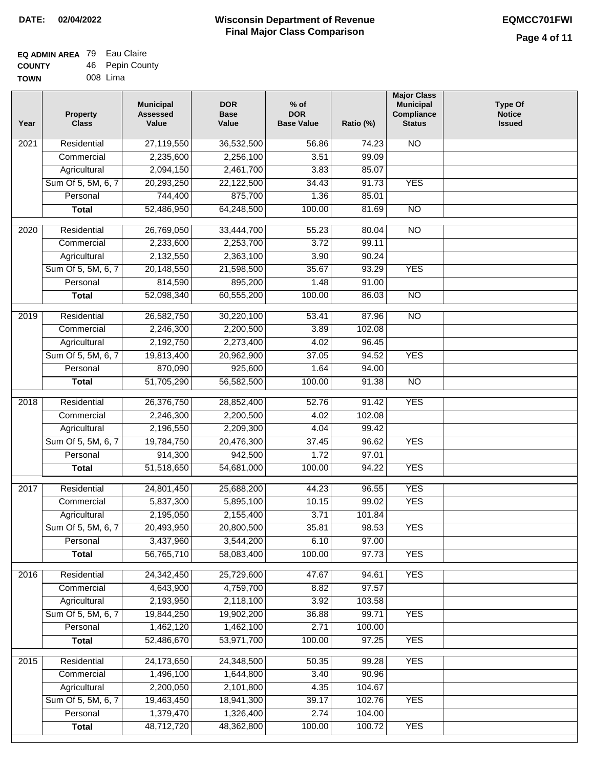### **EQ ADMIN AREA** 79 Eau Claire **COUNTY TOWN** 46 Pepin County

| WN | 008 Lima |
|----|----------|
|    |          |

| Year | <b>Property</b><br><b>Class</b> | <b>Municipal</b><br><b>Assessed</b><br>Value | <b>DOR</b><br><b>Base</b><br>Value | $%$ of<br><b>DOR</b><br><b>Base Value</b> | Ratio (%) | <b>Major Class</b><br><b>Municipal</b><br>Compliance<br><b>Status</b> | <b>Type Of</b><br><b>Notice</b><br><b>Issued</b> |
|------|---------------------------------|----------------------------------------------|------------------------------------|-------------------------------------------|-----------|-----------------------------------------------------------------------|--------------------------------------------------|
| 2021 | Residential                     | 27,119,550                                   | 36,532,500                         | 56.86                                     | 74.23     | N <sub>O</sub>                                                        |                                                  |
|      | Commercial                      | 2,235,600                                    | 2,256,100                          | 3.51                                      | 99.09     |                                                                       |                                                  |
|      | Agricultural                    | 2,094,150                                    | 2,461,700                          | 3.83                                      | 85.07     |                                                                       |                                                  |
|      | Sum Of 5, 5M, 6, 7              | 20,293,250                                   | 22,122,500                         | 34.43                                     | 91.73     | <b>YES</b>                                                            |                                                  |
|      | Personal                        | 744,400                                      | 875,700                            | 1.36                                      | 85.01     |                                                                       |                                                  |
|      | <b>Total</b>                    | 52,486,950                                   | 64,248,500                         | 100.00                                    | 81.69     | $\overline{NO}$                                                       |                                                  |
| 2020 | Residential                     | 26,769,050                                   | 33,444,700                         | 55.23                                     | 80.04     | $\overline{NO}$                                                       |                                                  |
|      | Commercial                      | 2,233,600                                    | 2,253,700                          | 3.72                                      | 99.11     |                                                                       |                                                  |
|      | Agricultural                    | 2,132,550                                    | 2,363,100                          | 3.90                                      | 90.24     |                                                                       |                                                  |
|      | Sum Of 5, 5M, 6, 7              | 20,148,550                                   | 21,598,500                         | 35.67                                     | 93.29     | <b>YES</b>                                                            |                                                  |
|      | Personal                        | 814,590                                      | 895,200                            | 1.48                                      | 91.00     |                                                                       |                                                  |
|      | <b>Total</b>                    | 52,098,340                                   | 60,555,200                         | 100.00                                    | 86.03     | $\overline{NO}$                                                       |                                                  |
| 2019 | Residential                     | 26,582,750                                   | 30,220,100                         | 53.41                                     | 87.96     | $\overline{10}$                                                       |                                                  |
|      | Commercial                      | 2,246,300                                    | 2,200,500                          | 3.89                                      | 102.08    |                                                                       |                                                  |
|      | Agricultural                    | 2,192,750                                    | 2,273,400                          | 4.02                                      | 96.45     |                                                                       |                                                  |
|      | Sum Of 5, 5M, 6, 7              | 19,813,400                                   | 20,962,900                         | 37.05                                     | 94.52     | <b>YES</b>                                                            |                                                  |
|      | Personal                        | 870,090                                      | 925,600                            | 1.64                                      | 94.00     |                                                                       |                                                  |
|      | <b>Total</b>                    | 51,705,290                                   | 56,582,500                         | 100.00                                    | 91.38     | $\overline{NO}$                                                       |                                                  |
| 2018 | Residential                     | 26,376,750                                   | 28,852,400                         | 52.76                                     | 91.42     | <b>YES</b>                                                            |                                                  |
|      | Commercial                      | 2,246,300                                    | 2,200,500                          | 4.02                                      | 102.08    |                                                                       |                                                  |
|      | Agricultural                    | 2,196,550                                    | 2,209,300                          | 4.04                                      | 99.42     |                                                                       |                                                  |
|      | Sum Of 5, 5M, 6, 7              | 19,784,750                                   | 20,476,300                         | 37.45                                     | 96.62     | <b>YES</b>                                                            |                                                  |
|      | Personal                        | 914,300                                      | 942,500                            | 1.72                                      | 97.01     |                                                                       |                                                  |
|      | <b>Total</b>                    | 51,518,650                                   | 54,681,000                         | 100.00                                    | 94.22     | <b>YES</b>                                                            |                                                  |
| 2017 | Residential                     | 24,801,450                                   | 25,688,200                         | 44.23                                     | 96.55     | <b>YES</b>                                                            |                                                  |
|      | Commercial                      | 5,837,300                                    | 5,895,100                          | 10.15                                     | 99.02     | <b>YES</b>                                                            |                                                  |
|      | Agricultural                    | 2,195,050                                    | 2,155,400                          | 3.71                                      | 101.84    |                                                                       |                                                  |
|      | Sum Of 5, 5M, 6, 7              | 20,493,950                                   | 20,800,500                         | 35.81                                     | 98.53     | <b>YES</b>                                                            |                                                  |
|      | Personal                        | 3,437,960                                    | 3,544,200                          | 6.10                                      | 97.00     |                                                                       |                                                  |
|      | <b>Total</b>                    | 56,765,710                                   | 58,083,400                         | 100.00                                    | 97.73     | <b>YES</b>                                                            |                                                  |
| 2016 | Residential                     | 24,342,450                                   | 25,729,600                         | 47.67                                     | 94.61     | <b>YES</b>                                                            |                                                  |
|      | Commercial                      | 4,643,900                                    | 4,759,700                          | 8.82                                      | 97.57     |                                                                       |                                                  |
|      | Agricultural                    | 2,193,950                                    | 2,118,100                          | 3.92                                      | 103.58    |                                                                       |                                                  |
|      | Sum Of 5, 5M, 6, 7              | 19,844,250                                   | 19,902,200                         | 36.88                                     | 99.71     | <b>YES</b>                                                            |                                                  |
|      | Personal                        | 1,462,120                                    | 1,462,100                          | 2.71                                      | 100.00    |                                                                       |                                                  |
|      | <b>Total</b>                    | 52,486,670                                   | 53,971,700                         | 100.00                                    | 97.25     | <b>YES</b>                                                            |                                                  |
| 2015 | Residential                     | 24,173,650                                   | 24,348,500                         | 50.35                                     | 99.28     | <b>YES</b>                                                            |                                                  |
|      | Commercial                      | 1,496,100                                    | 1,644,800                          | 3.40                                      | 90.96     |                                                                       |                                                  |
|      | Agricultural                    | 2,200,050                                    | 2,101,800                          | 4.35                                      | 104.67    |                                                                       |                                                  |
|      | Sum Of 5, 5M, 6, 7              | 19,463,450                                   | 18,941,300                         | 39.17                                     | 102.76    | <b>YES</b>                                                            |                                                  |
|      | Personal                        | 1,379,470                                    | 1,326,400                          | 2.74                                      | 104.00    |                                                                       |                                                  |
|      | <b>Total</b>                    | 48,712,720                                   | 48,362,800                         | 100.00                                    | 100.72    | <b>YES</b>                                                            |                                                  |
|      |                                 |                                              |                                    |                                           |           |                                                                       |                                                  |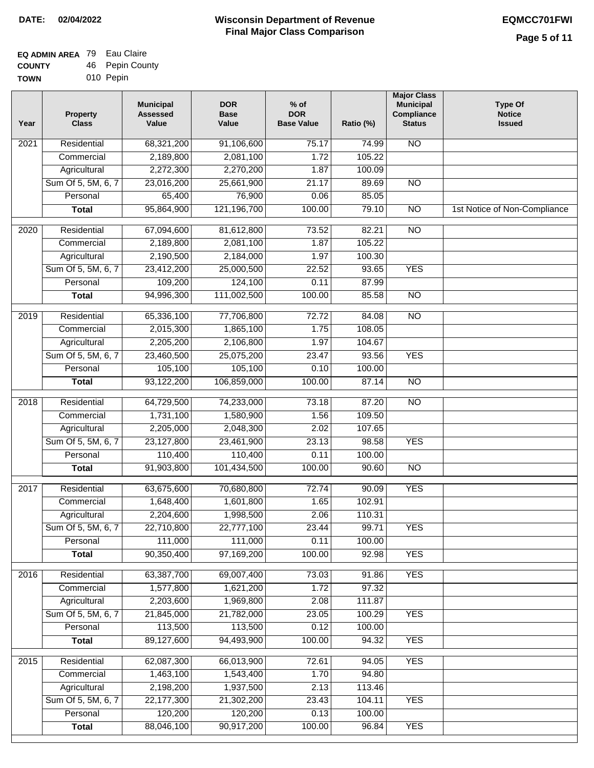| EQ ADMIN AREA 79 Eau Claire |                 |
|-----------------------------|-----------------|
| <b>COUNTY</b>               | 46 Pepin County |

**TOWN** 010 Pepin

| Year              | <b>Property</b><br><b>Class</b> | <b>Municipal</b><br><b>Assessed</b><br>Value | <b>DOR</b><br><b>Base</b><br>Value | $%$ of<br><b>DOR</b><br><b>Base Value</b> | Ratio (%) | <b>Major Class</b><br><b>Municipal</b><br>Compliance<br><b>Status</b> | <b>Type Of</b><br><b>Notice</b><br><b>Issued</b> |
|-------------------|---------------------------------|----------------------------------------------|------------------------------------|-------------------------------------------|-----------|-----------------------------------------------------------------------|--------------------------------------------------|
| $\overline{202}1$ | Residential                     | 68,321,200                                   | 91,106,600                         | 75.17                                     | 74.99     | N <sub>O</sub>                                                        |                                                  |
|                   | Commercial                      | 2,189,800                                    | 2,081,100                          | 1.72                                      | 105.22    |                                                                       |                                                  |
|                   | Agricultural                    | 2,272,300                                    | 2,270,200                          | 1.87                                      | 100.09    |                                                                       |                                                  |
|                   | Sum Of 5, 5M, 6, 7              | 23,016,200                                   | 25,661,900                         | 21.17                                     | 89.69     | N <sub>O</sub>                                                        |                                                  |
|                   | Personal                        | 65,400                                       | 76,900                             | 0.06                                      | 85.05     |                                                                       |                                                  |
|                   | <b>Total</b>                    | 95,864,900                                   | 121,196,700                        | 100.00                                    | 79.10     | $\overline{NO}$                                                       | 1st Notice of Non-Compliance                     |
| 2020              | Residential                     | 67,094,600                                   | 81,612,800                         | 73.52                                     | 82.21     | $\overline{NO}$                                                       |                                                  |
|                   | Commercial                      | 2,189,800                                    | 2,081,100                          | 1.87                                      | 105.22    |                                                                       |                                                  |
|                   | Agricultural                    | 2,190,500                                    | 2,184,000                          | 1.97                                      | 100.30    |                                                                       |                                                  |
|                   | Sum Of 5, 5M, 6, 7              | 23,412,200                                   | 25,000,500                         | 22.52                                     | 93.65     | <b>YES</b>                                                            |                                                  |
|                   | Personal                        | 109,200                                      | 124,100                            | 0.11                                      | 87.99     |                                                                       |                                                  |
|                   | <b>Total</b>                    | 94,996,300                                   | 111,002,500                        | 100.00                                    | 85.58     | $\overline{NO}$                                                       |                                                  |
| 2019              | Residential                     | 65,336,100                                   | 77,706,800                         | 72.72                                     | 84.08     | $\overline{NO}$                                                       |                                                  |
|                   | Commercial                      | 2,015,300                                    | 1,865,100                          | 1.75                                      | 108.05    |                                                                       |                                                  |
|                   | Agricultural                    | 2,205,200                                    | 2,106,800                          | 1.97                                      | 104.67    |                                                                       |                                                  |
|                   | Sum Of 5, 5M, 6, 7              | 23,460,500                                   | 25,075,200                         | 23.47                                     | 93.56     | <b>YES</b>                                                            |                                                  |
|                   | Personal                        | 105,100                                      | 105,100                            | 0.10                                      | 100.00    |                                                                       |                                                  |
|                   | <b>Total</b>                    | 93,122,200                                   | 106,859,000                        | 100.00                                    | 87.14     | N <sub>O</sub>                                                        |                                                  |
| 2018              | Residential                     | 64,729,500                                   | 74,233,000                         | 73.18                                     | 87.20     | N <sub>O</sub>                                                        |                                                  |
|                   | Commercial                      | 1,731,100                                    | 1,580,900                          | 1.56                                      | 109.50    |                                                                       |                                                  |
|                   | Agricultural                    | 2,205,000                                    | 2,048,300                          | 2.02                                      | 107.65    |                                                                       |                                                  |
|                   | Sum Of 5, 5M, 6, 7              | 23,127,800                                   | 23,461,900                         | 23.13                                     | 98.58     | <b>YES</b>                                                            |                                                  |
|                   | Personal                        | 110,400                                      | 110,400                            | 0.11                                      | 100.00    |                                                                       |                                                  |
|                   | <b>Total</b>                    | 91,903,800                                   | 101,434,500                        | 100.00                                    | 90.60     | $\overline{NO}$                                                       |                                                  |
| 2017              | Residential                     | 63,675,600                                   | 70,680,800                         | 72.74                                     | 90.09     | <b>YES</b>                                                            |                                                  |
|                   | Commercial                      | 1,648,400                                    | 1,601,800                          | 1.65                                      | 102.91    |                                                                       |                                                  |
|                   | Agricultural                    | 2,204,600                                    | 1,998,500                          | 2.06                                      | 110.31    |                                                                       |                                                  |
|                   | Sum Of 5, 5M, 6, 7              | 22,710,800                                   | 22,777,100                         | 23.44                                     | 99.71     | <b>YES</b>                                                            |                                                  |
|                   | Personal                        | 111,000                                      | 111,000                            | 0.11                                      | 100.00    |                                                                       |                                                  |
|                   | <b>Total</b>                    | 90,350,400                                   | 97,169,200                         | 100.00                                    | 92.98     | <b>YES</b>                                                            |                                                  |
| 2016              | Residential                     | 63,387,700                                   | 69,007,400                         | 73.03                                     | 91.86     | <b>YES</b>                                                            |                                                  |
|                   | Commercial                      | 1,577,800                                    | 1,621,200                          | 1.72                                      | 97.32     |                                                                       |                                                  |
|                   | Agricultural                    | 2,203,600                                    | 1,969,800                          | 2.08                                      | 111.87    |                                                                       |                                                  |
|                   | Sum Of 5, 5M, 6, 7              | 21,845,000                                   | 21,782,000                         | 23.05                                     | 100.29    | <b>YES</b>                                                            |                                                  |
|                   | Personal                        | 113,500                                      | 113,500                            | 0.12                                      | 100.00    |                                                                       |                                                  |
|                   | <b>Total</b>                    | 89,127,600                                   | 94,493,900                         | 100.00                                    | 94.32     | <b>YES</b>                                                            |                                                  |
| 2015              | Residential                     | 62,087,300                                   | 66,013,900                         | 72.61                                     | 94.05     | <b>YES</b>                                                            |                                                  |
|                   | Commercial                      | 1,463,100                                    | 1,543,400                          | 1.70                                      | 94.80     |                                                                       |                                                  |
|                   | Agricultural                    | 2,198,200                                    | 1,937,500                          | 2.13                                      | 113.46    |                                                                       |                                                  |
|                   | Sum Of 5, 5M, 6, 7              | 22,177,300                                   | 21,302,200                         | 23.43                                     | 104.11    | <b>YES</b>                                                            |                                                  |
|                   | Personal                        | 120,200                                      | 120,200                            | 0.13                                      | 100.00    |                                                                       |                                                  |
|                   | <b>Total</b>                    | 88,046,100                                   | 90,917,200                         | 100.00                                    | 96.84     | <b>YES</b>                                                            |                                                  |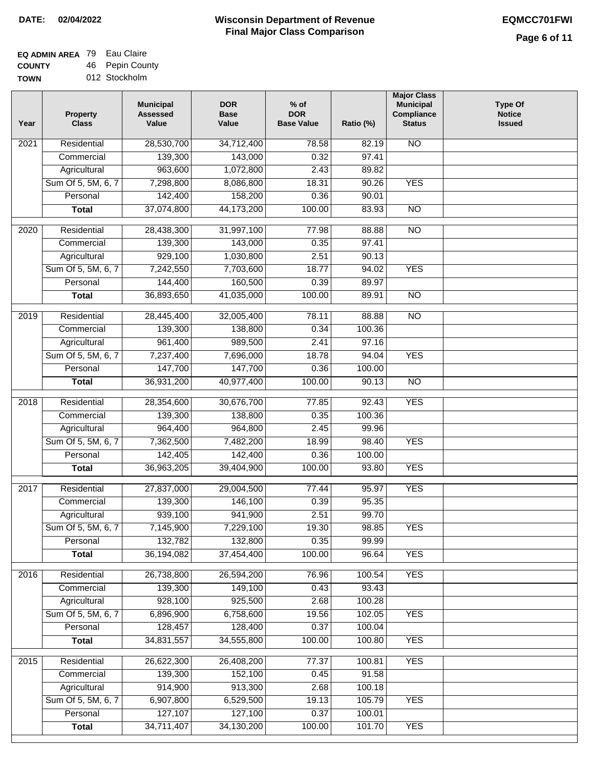| EQ ADMIN AREA 79 Eau Claire |                 |  |  |
|-----------------------------|-----------------|--|--|
| <b>COUNTY</b>               | 46 Pepin County |  |  |

**TOWN** 012 Stockholm

| Year              | <b>Property</b><br><b>Class</b> | <b>Municipal</b><br><b>Assessed</b><br>Value | <b>DOR</b><br><b>Base</b><br>Value | % of<br><b>DOR</b><br><b>Base Value</b> | Ratio (%) | <b>Major Class</b><br><b>Municipal</b><br>Compliance<br><b>Status</b> | <b>Type Of</b><br><b>Notice</b><br><b>Issued</b> |
|-------------------|---------------------------------|----------------------------------------------|------------------------------------|-----------------------------------------|-----------|-----------------------------------------------------------------------|--------------------------------------------------|
| $\overline{202}1$ | Residential                     | 28,530,700                                   | 34,712,400                         | 78.58                                   | 82.19     | <b>NO</b>                                                             |                                                  |
|                   | Commercial                      | 139,300                                      | 143,000                            | 0.32                                    | 97.41     |                                                                       |                                                  |
|                   | Agricultural                    | 963,600                                      | 1,072,800                          | 2.43                                    | 89.82     |                                                                       |                                                  |
|                   | Sum Of 5, 5M, 6, 7              | 7,298,800                                    | 8,086,800                          | 18.31                                   | 90.26     | <b>YES</b>                                                            |                                                  |
|                   | Personal                        | 142,400                                      | 158,200                            | 0.36                                    | 90.01     |                                                                       |                                                  |
|                   | <b>Total</b>                    | 37,074,800                                   | 44,173,200                         | 100.00                                  | 83.93     | $\overline{NO}$                                                       |                                                  |
| $\overline{2020}$ | Residential                     | 28,438,300                                   | 31,997,100                         | 77.98                                   | 88.88     | $\overline{NO}$                                                       |                                                  |
|                   | Commercial                      | 139,300                                      | 143,000                            | 0.35                                    | 97.41     |                                                                       |                                                  |
|                   | Agricultural                    | 929,100                                      | 1,030,800                          | 2.51                                    | 90.13     |                                                                       |                                                  |
|                   | Sum Of 5, 5M, 6, 7              | 7,242,550                                    | 7,703,600                          | 18.77                                   | 94.02     | <b>YES</b>                                                            |                                                  |
|                   | Personal                        | 144,400                                      | 160,500                            | 0.39                                    | 89.97     |                                                                       |                                                  |
|                   | <b>Total</b>                    | 36,893,650                                   | 41,035,000                         | 100.00                                  | 89.91     | $\overline{NO}$                                                       |                                                  |
| 2019              | Residential                     | 28,445,400                                   | 32,005,400                         | 78.11                                   | 88.88     | $\overline{N}$                                                        |                                                  |
|                   | Commercial                      | 139,300                                      | 138,800                            | 0.34                                    | 100.36    |                                                                       |                                                  |
|                   | Agricultural                    | 961,400                                      | 989,500                            | 2.41                                    | 97.16     |                                                                       |                                                  |
|                   | Sum Of 5, 5M, 6, 7              | 7,237,400                                    | 7,696,000                          | 18.78                                   | 94.04     | <b>YES</b>                                                            |                                                  |
|                   | Personal                        | 147,700                                      | 147,700                            | 0.36                                    | 100.00    |                                                                       |                                                  |
|                   | <b>Total</b>                    | 36,931,200                                   | 40,977,400                         | 100.00                                  | 90.13     | $\overline{NO}$                                                       |                                                  |
| 2018              | Residential                     | 28,354,600                                   | 30,676,700                         | 77.85                                   | 92.43     | <b>YES</b>                                                            |                                                  |
|                   | Commercial                      | 139,300                                      | 138,800                            | 0.35                                    | 100.36    |                                                                       |                                                  |
|                   | Agricultural                    | 964,400                                      | 964,800                            | 2.45                                    | 99.96     |                                                                       |                                                  |
|                   | Sum Of 5, 5M, 6, 7              | 7,362,500                                    | 7,482,200                          | 18.99                                   | 98.40     | <b>YES</b>                                                            |                                                  |
|                   | Personal                        | 142,405                                      | 142,400                            | 0.36                                    | 100.00    |                                                                       |                                                  |
|                   | <b>Total</b>                    | 36,963,205                                   | 39,404,900                         | 100.00                                  | 93.80     | <b>YES</b>                                                            |                                                  |
| 2017              | Residential                     | 27,837,000                                   | 29,004,500                         | 77.44                                   | 95.97     | <b>YES</b>                                                            |                                                  |
|                   | Commercial                      | 139,300                                      | 146,100                            | 0.39                                    | 95.35     |                                                                       |                                                  |
|                   | Agricultural                    | 939,100                                      | 941,900                            | 2.51                                    | 99.70     |                                                                       |                                                  |
|                   | Sum Of 5, 5M, 6, 7              | 7,145,900                                    | 7,229,100                          | 19.30                                   | 98.85     | <b>YES</b>                                                            |                                                  |
|                   | Personal                        | 132,782                                      | 132,800                            | 0.35                                    | 99.99     |                                                                       |                                                  |
|                   | <b>Total</b>                    | 36,194,082                                   | 37,454,400                         | 100.00                                  | 96.64     | <b>YES</b>                                                            |                                                  |
| 2016              | Residential                     | 26,738,800                                   | 26,594,200                         | 76.96                                   | 100.54    | <b>YES</b>                                                            |                                                  |
|                   | Commercial                      | 139,300                                      | 149,100                            | 0.43                                    | 93.43     |                                                                       |                                                  |
|                   | Agricultural                    | 928,100                                      | 925,500                            | 2.68                                    | 100.28    |                                                                       |                                                  |
|                   | Sum Of 5, 5M, 6, 7              | 6,896,900                                    | 6,758,600                          | 19.56                                   | 102.05    | <b>YES</b>                                                            |                                                  |
|                   | Personal                        | 128,457                                      | 128,400                            | 0.37                                    | 100.04    |                                                                       |                                                  |
|                   | <b>Total</b>                    | 34,831,557                                   | 34,555,800                         | 100.00                                  | 100.80    | <b>YES</b>                                                            |                                                  |
| 2015              | Residential                     | 26,622,300                                   | 26,408,200                         | 77.37                                   | 100.81    | <b>YES</b>                                                            |                                                  |
|                   | Commercial                      | 139,300                                      | 152,100                            | 0.45                                    | 91.58     |                                                                       |                                                  |
|                   | Agricultural                    | 914,900                                      | 913,300                            | 2.68                                    | 100.18    |                                                                       |                                                  |
|                   | Sum Of 5, 5M, 6, 7              | 6,907,800                                    | 6,529,500                          | 19.13                                   | 105.79    | <b>YES</b>                                                            |                                                  |
|                   | Personal                        | 127,107                                      | 127,100                            | 0.37                                    | 100.01    |                                                                       |                                                  |
|                   | <b>Total</b>                    | 34,711,407                                   | 34, 130, 200                       | 100.00                                  | 101.70    | <b>YES</b>                                                            |                                                  |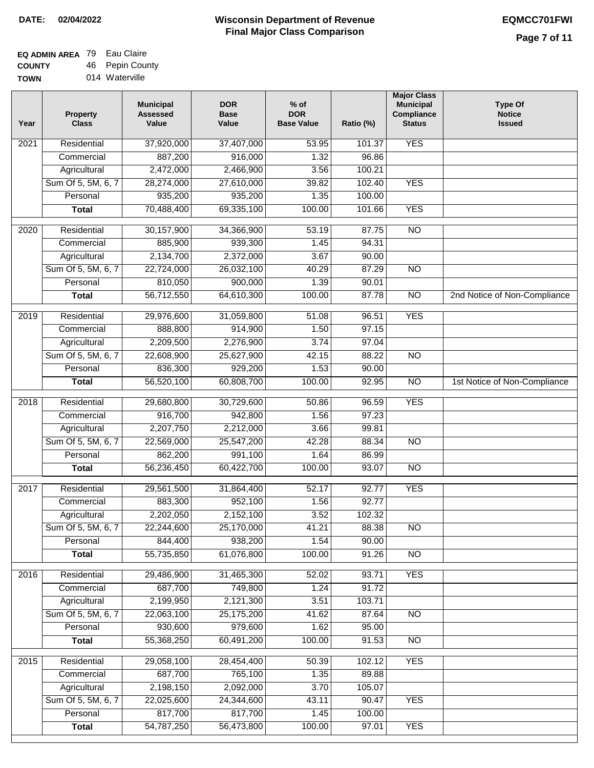| EQ ADMIN AREA 79 Eau Claire |                 |
|-----------------------------|-----------------|
| <b>COUNTY</b>               | 46 Pepin County |
|                             |                 |

**TOWN** 014 Waterville

| Year              | <b>Property</b><br><b>Class</b> | <b>Municipal</b><br><b>Assessed</b><br>Value | <b>DOR</b><br><b>Base</b><br>Value | % of<br><b>DOR</b><br><b>Base Value</b> | Ratio (%)      | <b>Major Class</b><br><b>Municipal</b><br>Compliance<br><b>Status</b> | <b>Type Of</b><br><b>Notice</b><br><b>Issued</b> |
|-------------------|---------------------------------|----------------------------------------------|------------------------------------|-----------------------------------------|----------------|-----------------------------------------------------------------------|--------------------------------------------------|
| $\overline{202}1$ | Residential                     | 37,920,000                                   | 37,407,000                         | 53.95                                   | 101.37         | <b>YES</b>                                                            |                                                  |
|                   | Commercial                      | 887,200                                      | 916,000                            | 1.32                                    | 96.86          |                                                                       |                                                  |
|                   | Agricultural                    | 2,472,000                                    | 2,466,900                          | 3.56                                    | 100.21         |                                                                       |                                                  |
|                   | Sum Of 5, 5M, 6, 7              | 28,274,000                                   | 27,610,000                         | 39.82                                   | 102.40         | <b>YES</b>                                                            |                                                  |
|                   | Personal                        | 935,200                                      | 935,200                            | 1.35                                    | 100.00         |                                                                       |                                                  |
|                   | <b>Total</b>                    | 70,488,400                                   | 69,335,100                         | 100.00                                  | 101.66         | <b>YES</b>                                                            |                                                  |
| $\overline{2020}$ | Residential                     | 30,157,900                                   | 34,366,900                         | 53.19                                   | 87.75          | $\overline{NO}$                                                       |                                                  |
|                   | Commercial                      | 885,900                                      | 939,300                            | 1.45                                    | 94.31          |                                                                       |                                                  |
|                   | Agricultural                    | 2,134,700                                    | 2,372,000                          | 3.67                                    | 90.00          |                                                                       |                                                  |
|                   | Sum Of 5, 5M, 6, 7              | 22,724,000                                   | 26,032,100                         | 40.29                                   | 87.29          | $\overline{NO}$                                                       |                                                  |
|                   | Personal                        | 810,050                                      | 900,000                            | 1.39                                    | 90.01          |                                                                       |                                                  |
|                   | <b>Total</b>                    | 56,712,550                                   | 64,610,300                         | 100.00                                  | 87.78          | $\overline{NO}$                                                       | 2nd Notice of Non-Compliance                     |
|                   |                                 |                                              |                                    |                                         |                |                                                                       |                                                  |
| 2019              | Residential                     | 29,976,600                                   | 31,059,800                         | 51.08                                   | 96.51          | <b>YES</b>                                                            |                                                  |
|                   | Commercial                      | 888,800                                      | 914,900                            | 1.50                                    | 97.15          |                                                                       |                                                  |
|                   | Agricultural                    | 2,209,500                                    | 2,276,900                          | 3.74                                    | 97.04          |                                                                       |                                                  |
|                   | Sum Of 5, 5M, 6, 7              | 22,608,900                                   | 25,627,900                         | 42.15                                   | 88.22          | N <sub>O</sub>                                                        |                                                  |
|                   | Personal                        | 836,300                                      | 929,200                            | 1.53                                    | 90.00          |                                                                       |                                                  |
|                   | <b>Total</b>                    | 56,520,100                                   | 60,808,700                         | 100.00                                  | 92.95          | $\overline{NO}$                                                       | 1st Notice of Non-Compliance                     |
| 2018              | Residential                     | 29,680,800                                   | 30,729,600                         | 50.86                                   | 96.59          | <b>YES</b>                                                            |                                                  |
|                   | Commercial                      | 916,700                                      | 942,800                            | 1.56                                    | 97.23          |                                                                       |                                                  |
|                   | Agricultural                    | 2,207,750                                    | 2,212,000                          | 3.66                                    | 99.81          |                                                                       |                                                  |
|                   | Sum Of 5, 5M, 6, 7              | 22,569,000                                   | 25,547,200                         | 42.28                                   | 88.34          | $\overline{10}$                                                       |                                                  |
|                   | Personal                        | 862,200                                      | 991,100                            | 1.64                                    | 86.99          |                                                                       |                                                  |
|                   | <b>Total</b>                    | 56,236,450                                   | 60,422,700                         | 100.00                                  | 93.07          | <b>NO</b>                                                             |                                                  |
| 2017              | Residential                     | 29,561,500                                   | 31,864,400                         | 52.17                                   | 92.77          | <b>YES</b>                                                            |                                                  |
|                   | Commercial                      | 883,300                                      | 952,100                            | 1.56                                    | 92.77          |                                                                       |                                                  |
|                   | Agricultural                    | 2,202,050                                    | 2,152,100                          | 3.52                                    | 102.32         |                                                                       |                                                  |
|                   | Sum Of 5, 5M, 6, 7              | 22,244,600                                   | 25,170,000                         | 41.21                                   | 88.38          | <b>NO</b>                                                             |                                                  |
|                   | Personal                        | 844,400                                      | 938,200                            | 1.54                                    | 90.00          |                                                                       |                                                  |
|                   | <b>Total</b>                    | 55,735,850                                   | 61,076,800                         | 100.00                                  | 91.26          | <b>NO</b>                                                             |                                                  |
|                   | Residential                     |                                              |                                    |                                         |                |                                                                       |                                                  |
| 2016              | Commercial                      | 29,486,900<br>687,700                        | 31,465,300<br>749,800              | 52.02<br>1.24                           | 93.71<br>91.72 | <b>YES</b>                                                            |                                                  |
|                   | Agricultural                    | 2,199,950                                    | 2,121,300                          | 3.51                                    | 103.71         |                                                                       |                                                  |
|                   | Sum Of 5, 5M, 6, 7              | 22,063,100                                   | 25,175,200                         | 41.62                                   | 87.64          | $\overline{NO}$                                                       |                                                  |
|                   | Personal                        | 930,600                                      | 979,600                            | 1.62                                    | 95.00          |                                                                       |                                                  |
|                   | <b>Total</b>                    | 55,368,250                                   | 60,491,200                         | 100.00                                  | 91.53          | N <sub>O</sub>                                                        |                                                  |
|                   |                                 |                                              |                                    |                                         |                |                                                                       |                                                  |
| 2015              | Residential                     | 29,058,100                                   | 28,454,400                         | 50.39                                   | 102.12         | <b>YES</b>                                                            |                                                  |
|                   | Commercial                      | 687,700                                      | 765,100                            | 1.35                                    | 89.88          |                                                                       |                                                  |
|                   | Agricultural                    | 2,198,150                                    | 2,092,000                          | 3.70                                    | 105.07         |                                                                       |                                                  |
|                   | Sum Of 5, 5M, 6, 7              | 22,025,600                                   | 24,344,600                         | 43.11                                   | 90.47          | <b>YES</b>                                                            |                                                  |
|                   | Personal                        | 817,700                                      | 817,700                            | 1.45                                    | 100.00         |                                                                       |                                                  |
|                   | <b>Total</b>                    | 54,787,250                                   | 56,473,800                         | 100.00                                  | 97.01          | <b>YES</b>                                                            |                                                  |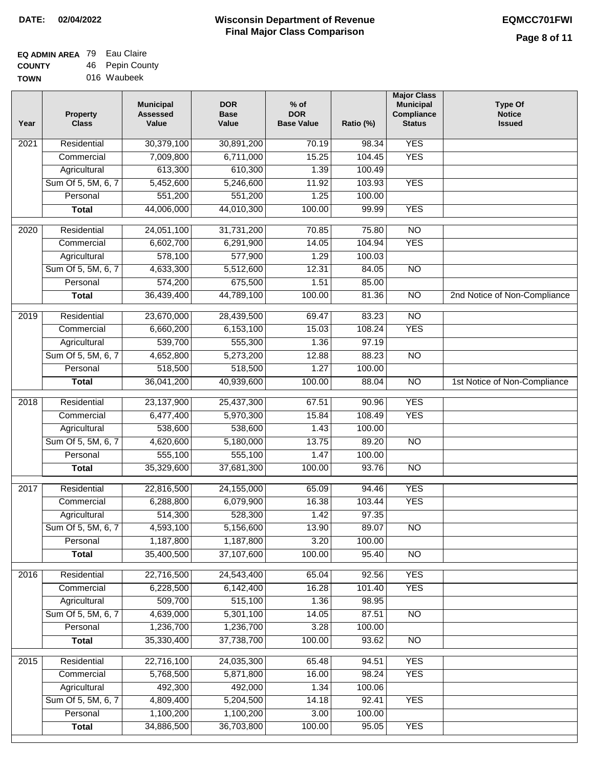$\Box$ 

# **Wisconsin Department of Revenue DATE: 02/04/2022 EQMCC701FWI Final Major Class Comparison**

| <b>EQ ADMIN AREA</b> 79 Eau Claire |                 |
|------------------------------------|-----------------|
| <b>COUNTY</b>                      | 46 Pepin County |
| <b>TOWN</b>                        | 016 Waubeek     |

| Year | <b>Property</b><br><b>Class</b> | <b>Municipal</b><br><b>Assessed</b><br>Value | <b>DOR</b><br><b>Base</b><br>Value | $%$ of<br><b>DOR</b><br><b>Base Value</b> | Ratio (%) | <b>Major Class</b><br><b>Municipal</b><br>Compliance<br><b>Status</b> | <b>Type Of</b><br><b>Notice</b><br><b>Issued</b> |
|------|---------------------------------|----------------------------------------------|------------------------------------|-------------------------------------------|-----------|-----------------------------------------------------------------------|--------------------------------------------------|
| 2021 | Residential                     | 30,379,100                                   | 30,891,200                         | 70.19                                     | 98.34     | <b>YES</b>                                                            |                                                  |
|      | Commercial                      | 7,009,800                                    | 6,711,000                          | 15.25                                     | 104.45    | <b>YES</b>                                                            |                                                  |
|      | Agricultural                    | 613,300                                      | 610,300                            | 1.39                                      | 100.49    |                                                                       |                                                  |
|      | Sum Of 5, 5M, 6, 7              | 5,452,600                                    | 5,246,600                          | 11.92                                     | 103.93    | <b>YES</b>                                                            |                                                  |
|      | Personal                        | 551,200                                      | 551,200                            | 1.25                                      | 100.00    |                                                                       |                                                  |
|      | <b>Total</b>                    | 44,006,000                                   | 44,010,300                         | 100.00                                    | 99.99     | <b>YES</b>                                                            |                                                  |
| 2020 | Residential                     | 24,051,100                                   | 31,731,200                         | 70.85                                     | 75.80     | $\overline{NO}$                                                       |                                                  |
|      | Commercial                      | 6,602,700                                    | 6,291,900                          | 14.05                                     | 104.94    | <b>YES</b>                                                            |                                                  |
|      | Agricultural                    | 578,100                                      | 577,900                            | 1.29                                      | 100.03    |                                                                       |                                                  |
|      | Sum Of 5, 5M, 6, 7              | 4,633,300                                    | 5,512,600                          | 12.31                                     | 84.05     | $\overline{NO}$                                                       |                                                  |
|      | Personal                        | 574,200                                      | 675,500                            | 1.51                                      | 85.00     |                                                                       |                                                  |
|      | <b>Total</b>                    | 36,439,400                                   | 44,789,100                         | 100.00                                    | 81.36     | $\overline{NO}$                                                       | 2nd Notice of Non-Compliance                     |
| 2019 | Residential                     | 23,670,000                                   | 28,439,500                         | 69.47                                     | 83.23     | $\overline{NO}$                                                       |                                                  |
|      | Commercial                      | 6,660,200                                    | 6,153,100                          | 15.03                                     | 108.24    | <b>YES</b>                                                            |                                                  |
|      | Agricultural                    | 539,700                                      | 555,300                            | 1.36                                      | 97.19     |                                                                       |                                                  |
|      | Sum Of 5, 5M, 6, 7              | 4,652,800                                    | 5,273,200                          | 12.88                                     | 88.23     | $\overline{NO}$                                                       |                                                  |
|      | Personal                        | 518,500                                      | 518,500                            | 1.27                                      | 100.00    |                                                                       |                                                  |
|      | <b>Total</b>                    | 36,041,200                                   | 40,939,600                         | 100.00                                    | 88.04     | $\overline{NO}$                                                       | 1st Notice of Non-Compliance                     |
| 2018 | Residential                     | 23,137,900                                   | 25,437,300                         | 67.51                                     | 90.96     | <b>YES</b>                                                            |                                                  |
|      | Commercial                      | 6,477,400                                    | 5,970,300                          | 15.84                                     | 108.49    | <b>YES</b>                                                            |                                                  |
|      | Agricultural                    | 538,600                                      | 538,600                            | 1.43                                      | 100.00    |                                                                       |                                                  |
|      | Sum Of 5, 5M, 6, 7              | 4,620,600                                    | 5,180,000                          | 13.75                                     | 89.20     | <b>NO</b>                                                             |                                                  |
|      | Personal                        | 555,100                                      | 555,100                            | 1.47                                      | 100.00    |                                                                       |                                                  |
|      | <b>Total</b>                    | 35,329,600                                   | 37,681,300                         | 100.00                                    | 93.76     | <b>NO</b>                                                             |                                                  |
| 2017 | Residential                     | 22,816,500                                   | 24,155,000                         | 65.09                                     | 94.46     | <b>YES</b>                                                            |                                                  |
|      | Commercial                      | 6,288,800                                    | 6,079,900                          | 16.38                                     | 103.44    | <b>YES</b>                                                            |                                                  |
|      | Agricultural                    | 514,300                                      | 528,300                            | 1.42                                      | 97.35     |                                                                       |                                                  |
|      | Sum Of 5, 5M, 6, 7              | 4,593,100                                    | 5,156,600                          | 13.90                                     | 89.07     | $\overline{N}$                                                        |                                                  |
|      | Personal                        | 1,187,800                                    | 1,187,800                          | 3.20                                      | 100.00    |                                                                       |                                                  |
|      | <b>Total</b>                    | 35,400,500                                   | 37,107,600                         | 100.00                                    | 95.40     | $\overline{NO}$                                                       |                                                  |
| 2016 | Residential                     | 22,716,500                                   | 24,543,400                         | 65.04                                     | 92.56     | <b>YES</b>                                                            |                                                  |
|      | Commercial                      | 6,228,500                                    | 6,142,400                          | 16.28                                     | 101.40    | <b>YES</b>                                                            |                                                  |
|      | Agricultural                    | 509,700                                      | 515,100                            | 1.36                                      | 98.95     |                                                                       |                                                  |
|      | Sum Of 5, 5M, 6, 7              | 4,639,000                                    | 5,301,100                          | 14.05                                     | 87.51     | N <sub>O</sub>                                                        |                                                  |
|      | Personal                        | 1,236,700                                    | 1,236,700                          | 3.28                                      | 100.00    |                                                                       |                                                  |
|      | <b>Total</b>                    | 35,330,400                                   | 37,738,700                         | 100.00                                    | 93.62     | $\overline{NO}$                                                       |                                                  |
| 2015 | Residential                     | 22,716,100                                   | 24,035,300                         | 65.48                                     | 94.51     | <b>YES</b>                                                            |                                                  |
|      | Commercial                      | 5,768,500                                    | 5,871,800                          | 16.00                                     | 98.24     | <b>YES</b>                                                            |                                                  |
|      | Agricultural                    | 492,300                                      | 492,000                            | 1.34                                      | 100.06    |                                                                       |                                                  |
|      | Sum Of 5, 5M, 6, 7              | 4,809,400                                    | 5,204,500                          | 14.18                                     | 92.41     | <b>YES</b>                                                            |                                                  |
|      | Personal                        | 1,100,200                                    | 1,100,200                          | 3.00                                      | 100.00    |                                                                       |                                                  |
|      | <b>Total</b>                    | 34,886,500                                   | 36,703,800                         | 100.00                                    | 95.05     | <b>YES</b>                                                            |                                                  |
|      |                                 |                                              |                                    |                                           |           |                                                                       |                                                  |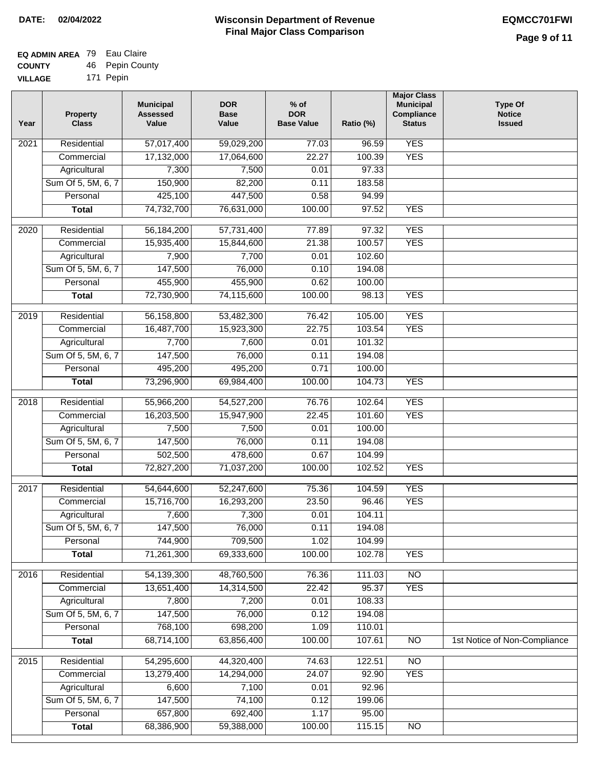| EQ ADMIN AREA 79 Eau Claire |     |              |
|-----------------------------|-----|--------------|
| <b>COUNTY</b>               | 46. | Pepin County |

**VILLAGE** 171 Pepin

| Year              | <b>Property</b><br><b>Class</b> | <b>Municipal</b><br><b>Assessed</b><br>Value | <b>DOR</b><br><b>Base</b><br>Value | $%$ of<br><b>DOR</b><br><b>Base Value</b> | Ratio (%) | <b>Major Class</b><br><b>Municipal</b><br>Compliance<br><b>Status</b> | <b>Type Of</b><br><b>Notice</b><br><b>Issued</b> |
|-------------------|---------------------------------|----------------------------------------------|------------------------------------|-------------------------------------------|-----------|-----------------------------------------------------------------------|--------------------------------------------------|
| 2021              | Residential                     | 57,017,400                                   | 59,029,200                         | 77.03                                     | 96.59     | <b>YES</b>                                                            |                                                  |
|                   | Commercial                      | 17,132,000                                   | 17,064,600                         | 22.27                                     | 100.39    | <b>YES</b>                                                            |                                                  |
|                   | Agricultural                    | 7,300                                        | 7,500                              | 0.01                                      | 97.33     |                                                                       |                                                  |
|                   | Sum Of 5, 5M, 6, 7              | 150,900                                      | 82,200                             | 0.11                                      | 183.58    |                                                                       |                                                  |
|                   | Personal                        | 425,100                                      | 447,500                            | 0.58                                      | 94.99     |                                                                       |                                                  |
|                   | <b>Total</b>                    | 74,732,700                                   | 76,631,000                         | 100.00                                    | 97.52     | <b>YES</b>                                                            |                                                  |
|                   | Residential                     |                                              | 57,731,400                         |                                           | 97.32     | <b>YES</b>                                                            |                                                  |
| 2020              | Commercial                      | 56,184,200<br>15,935,400                     | 15,844,600                         | 77.89<br>21.38                            | 100.57    | <b>YES</b>                                                            |                                                  |
|                   | Agricultural                    | 7,900                                        | 7,700                              | 0.01                                      | 102.60    |                                                                       |                                                  |
|                   | Sum Of 5, 5M, 6, 7              | 147,500                                      | 76,000                             | 0.10                                      | 194.08    |                                                                       |                                                  |
|                   | Personal                        | 455,900                                      | 455,900                            | 0.62                                      | 100.00    |                                                                       |                                                  |
|                   | <b>Total</b>                    | 72,730,900                                   | 74,115,600                         | 100.00                                    | 98.13     | <b>YES</b>                                                            |                                                  |
|                   |                                 |                                              |                                    |                                           |           |                                                                       |                                                  |
| $\frac{1}{2019}$  | Residential                     | 56,158,800                                   | 53,482,300                         | 76.42                                     | 105.00    | <b>YES</b>                                                            |                                                  |
|                   | Commercial                      | 16,487,700                                   | 15,923,300                         | 22.75                                     | 103.54    | <b>YES</b>                                                            |                                                  |
|                   | Agricultural                    | 7,700                                        | 7,600                              | 0.01                                      | 101.32    |                                                                       |                                                  |
|                   | Sum Of 5, 5M, 6, 7              | 147,500                                      | 76,000                             | 0.11                                      | 194.08    |                                                                       |                                                  |
|                   | Personal                        | 495,200                                      | 495,200                            | 0.71                                      | 100.00    |                                                                       |                                                  |
|                   | <b>Total</b>                    | 73,296,900                                   | 69,984,400                         | 100.00                                    | 104.73    | <b>YES</b>                                                            |                                                  |
| 2018              | Residential                     | 55,966,200                                   | 54,527,200                         | 76.76                                     | 102.64    | <b>YES</b>                                                            |                                                  |
|                   | Commercial                      | 16,203,500                                   | 15,947,900                         | 22.45                                     | 101.60    | <b>YES</b>                                                            |                                                  |
|                   | Agricultural                    | 7,500                                        | 7,500                              | 0.01                                      | 100.00    |                                                                       |                                                  |
|                   | Sum Of 5, 5M, 6, 7              | 147,500                                      | 76,000                             | 0.11                                      | 194.08    |                                                                       |                                                  |
|                   | Personal                        | 502,500                                      | 478,600                            | 0.67                                      | 104.99    |                                                                       |                                                  |
|                   | <b>Total</b>                    | 72,827,200                                   | 71,037,200                         | 100.00                                    | 102.52    | <b>YES</b>                                                            |                                                  |
|                   |                                 |                                              |                                    |                                           |           |                                                                       |                                                  |
| $\overline{2017}$ | Residential                     | 54,644,600                                   | 52,247,600                         | 75.36                                     | 104.59    | <b>YES</b>                                                            |                                                  |
|                   | Commercial                      | 15,716,700                                   | 16,293,200                         | 23.50                                     | 96.46     | <b>YES</b>                                                            |                                                  |
|                   | Agricultural                    | 7,600                                        | 7,300                              | 0.01                                      | 104.11    |                                                                       |                                                  |
|                   | Sum Of 5, 5M, 6, 7              | 147,500                                      | 76,000                             | 0.11                                      | 194.08    |                                                                       |                                                  |
|                   | Personal                        | 744,900                                      | 709,500                            | 1.02                                      | 104.99    |                                                                       |                                                  |
|                   | <b>Total</b>                    | 71,261,300                                   | 69,333,600                         | 100.00                                    | 102.78    | <b>YES</b>                                                            |                                                  |
| 2016              | Residential                     | 54,139,300                                   | 48,760,500                         | 76.36                                     | 111.03    | $\overline{NO}$                                                       |                                                  |
|                   | Commercial                      | 13,651,400                                   | 14,314,500                         | 22.42                                     | 95.37     | <b>YES</b>                                                            |                                                  |
|                   | Agricultural                    | 7,800                                        | 7,200                              | 0.01                                      | 108.33    |                                                                       |                                                  |
|                   | Sum Of 5, 5M, 6, 7              | 147,500                                      | 76,000                             | 0.12                                      | 194.08    |                                                                       |                                                  |
|                   | Personal                        | 768,100                                      | 698,200                            | 1.09                                      | 110.01    |                                                                       |                                                  |
|                   | <b>Total</b>                    | 68,714,100                                   | 63,856,400                         | 100.00                                    | 107.61    | $\overline{NO}$                                                       | 1st Notice of Non-Compliance                     |
| 2015              | Residential                     | 54,295,600                                   | 44,320,400                         | 74.63                                     | 122.51    | $\overline{NO}$                                                       |                                                  |
|                   | Commercial                      | 13,279,400                                   | 14,294,000                         | 24.07                                     | 92.90     | <b>YES</b>                                                            |                                                  |
|                   | Agricultural                    | 6,600                                        | 7,100                              | 0.01                                      | 92.96     |                                                                       |                                                  |
|                   | Sum Of 5, 5M, 6, 7              | 147,500                                      | 74,100                             | 0.12                                      | 199.06    |                                                                       |                                                  |
|                   | Personal                        | 657,800                                      | 692,400                            | 1.17                                      | 95.00     |                                                                       |                                                  |
|                   | <b>Total</b>                    | 68,386,900                                   | 59,388,000                         | 100.00                                    | 115.15    | N <sub>O</sub>                                                        |                                                  |
|                   |                                 |                                              |                                    |                                           |           |                                                                       |                                                  |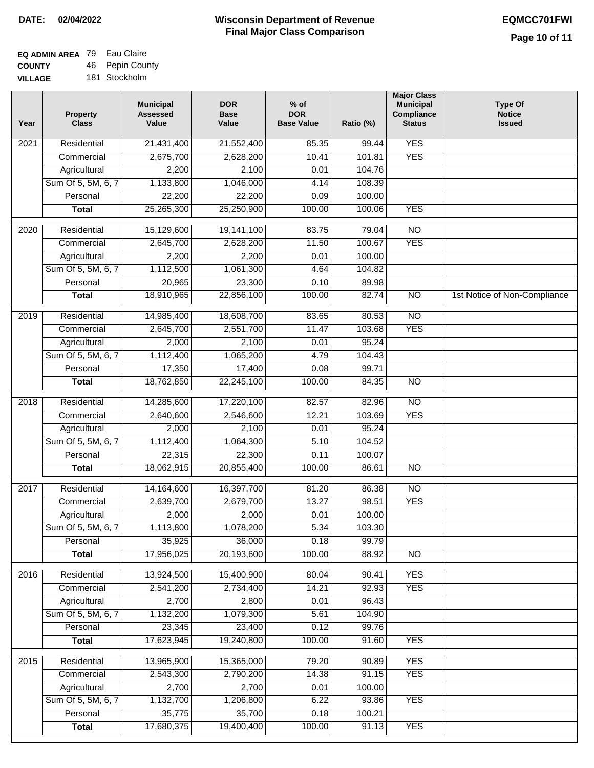٦

| <b>EQ ADMIN AREA</b> 79 Eau Claire |                 |
|------------------------------------|-----------------|
| <b>COUNTY</b>                      | 46 Pepin County |
| <b>VILLAGE</b>                     | 181 Stockholm   |

| AGE |  | 181 Stockholm |  |
|-----|--|---------------|--|
|     |  |               |  |

| Year | <b>Property</b><br><b>Class</b> | <b>Municipal</b><br><b>Assessed</b><br>Value | <b>DOR</b><br><b>Base</b><br>Value | $%$ of<br><b>DOR</b><br><b>Base Value</b> | Ratio (%) | <b>Major Class</b><br><b>Municipal</b><br>Compliance<br><b>Status</b> | <b>Type Of</b><br><b>Notice</b><br><b>Issued</b> |
|------|---------------------------------|----------------------------------------------|------------------------------------|-------------------------------------------|-----------|-----------------------------------------------------------------------|--------------------------------------------------|
| 2021 | Residential                     | 21,431,400                                   | 21,552,400                         | 85.35                                     | 99.44     | <b>YES</b>                                                            |                                                  |
|      | Commercial                      | 2,675,700                                    | 2,628,200                          | 10.41                                     | 101.81    | <b>YES</b>                                                            |                                                  |
|      | Agricultural                    | 2,200                                        | 2,100                              | 0.01                                      | 104.76    |                                                                       |                                                  |
|      | Sum Of 5, 5M, 6, 7              | 1,133,800                                    | 1,046,000                          | 4.14                                      | 108.39    |                                                                       |                                                  |
|      | Personal                        | 22,200                                       | 22,200                             | 0.09                                      | 100.00    |                                                                       |                                                  |
|      | <b>Total</b>                    | 25,265,300                                   | 25,250,900                         | 100.00                                    | 100.06    | <b>YES</b>                                                            |                                                  |
| 2020 | Residential                     | 15,129,600                                   | 19,141,100                         | 83.75                                     | 79.04     | $\overline{NO}$                                                       |                                                  |
|      | Commercial                      | 2,645,700                                    | 2,628,200                          | 11.50                                     | 100.67    | <b>YES</b>                                                            |                                                  |
|      | Agricultural                    | 2,200                                        | 2,200                              | 0.01                                      | 100.00    |                                                                       |                                                  |
|      | Sum Of 5, 5M, 6, 7              | 1,112,500                                    | 1,061,300                          | 4.64                                      | 104.82    |                                                                       |                                                  |
|      | Personal                        | 20,965                                       | 23,300                             | 0.10                                      | 89.98     |                                                                       |                                                  |
|      | <b>Total</b>                    | 18,910,965                                   | 22,856,100                         | 100.00                                    | 82.74     | $\overline{NO}$                                                       | 1st Notice of Non-Compliance                     |
| 2019 | Residential                     | 14,985,400                                   | 18,608,700                         | 83.65                                     | 80.53     | $\overline{NO}$                                                       |                                                  |
|      | Commercial                      | 2,645,700                                    | 2,551,700                          | 11.47                                     | 103.68    | <b>YES</b>                                                            |                                                  |
|      | Agricultural                    | 2,000                                        | 2,100                              | 0.01                                      | 95.24     |                                                                       |                                                  |
|      | Sum Of 5, 5M, 6, 7              | 1,112,400                                    | 1,065,200                          | 4.79                                      | 104.43    |                                                                       |                                                  |
|      | Personal                        | 17,350                                       | 17,400                             | 0.08                                      | 99.71     |                                                                       |                                                  |
|      | <b>Total</b>                    | 18,762,850                                   | 22,245,100                         | 100.00                                    | 84.35     | <b>NO</b>                                                             |                                                  |
|      |                                 |                                              |                                    |                                           |           |                                                                       |                                                  |
| 2018 | Residential                     | 14,285,600                                   | 17,220,100                         | 82.57                                     | 82.96     | $\overline{NO}$                                                       |                                                  |
|      | Commercial                      | 2,640,600                                    | 2,546,600                          | 12.21                                     | 103.69    | <b>YES</b>                                                            |                                                  |
|      | Agricultural                    | 2,000                                        | 2,100                              | 0.01                                      | 95.24     |                                                                       |                                                  |
|      | Sum Of 5, 5M, 6, 7              | 1,112,400                                    | 1,064,300                          | 5.10                                      | 104.52    |                                                                       |                                                  |
|      | Personal                        | 22,315                                       | 22,300                             | 0.11                                      | 100.07    |                                                                       |                                                  |
|      | <b>Total</b>                    | 18,062,915                                   | 20,855,400                         | 100.00                                    | 86.61     | $\overline{NO}$                                                       |                                                  |
| 2017 | Residential                     | 14,164,600                                   | 16,397,700                         | 81.20                                     | 86.38     | $\overline{NO}$                                                       |                                                  |
|      | Commercial                      | 2,639,700                                    | 2,679,700                          | 13.27                                     | 98.51     | <b>YES</b>                                                            |                                                  |
|      | Agricultural                    | 2,000                                        | 2,000                              | 0.01                                      | 100.00    |                                                                       |                                                  |
|      | Sum Of 5, 5M, 6, 7              | 1,113,800                                    | 1,078,200                          | 5.34                                      | 103.30    |                                                                       |                                                  |
|      | Personal                        | 35,925                                       | 36,000                             | 0.18                                      | 99.79     |                                                                       |                                                  |
|      | <b>Total</b>                    | 17,956,025                                   | 20,193,600                         | 100.00                                    | 88.92     | N <sub>O</sub>                                                        |                                                  |
| 2016 | Residential                     | 13,924,500                                   | 15,400,900                         | 80.04                                     | 90.41     | <b>YES</b>                                                            |                                                  |
|      | Commercial                      | 2,541,200                                    | 2,734,400                          | 14.21                                     | 92.93     | <b>YES</b>                                                            |                                                  |
|      | Agricultural                    | 2,700                                        | 2,800                              | 0.01                                      | 96.43     |                                                                       |                                                  |
|      | Sum Of 5, 5M, 6, 7              | 1,132,200                                    | 1,079,300                          | 5.61                                      | 104.90    |                                                                       |                                                  |
|      | Personal                        | 23,345                                       | 23,400                             | 0.12                                      | 99.76     |                                                                       |                                                  |
|      | <b>Total</b>                    | 17,623,945                                   | 19,240,800                         | 100.00                                    | 91.60     | <b>YES</b>                                                            |                                                  |
|      |                                 |                                              |                                    |                                           |           |                                                                       |                                                  |
| 2015 | Residential                     | 13,965,900                                   | 15,365,000                         | 79.20                                     | 90.89     | <b>YES</b>                                                            |                                                  |
|      | Commercial                      | 2,543,300                                    | 2,790,200                          | 14.38                                     | 91.15     | <b>YES</b>                                                            |                                                  |
|      | Agricultural                    | 2,700                                        | 2,700                              | 0.01                                      | 100.00    |                                                                       |                                                  |
|      | Sum Of 5, 5M, 6, 7              | 1,132,700                                    | 1,206,800                          | 6.22                                      | 93.86     | <b>YES</b>                                                            |                                                  |
|      | Personal                        | 35,775                                       | 35,700                             | 0.18                                      | 100.21    |                                                                       |                                                  |
|      | <b>Total</b>                    | 17,680,375                                   | 19,400,400                         | 100.00                                    | 91.13     | <b>YES</b>                                                            |                                                  |